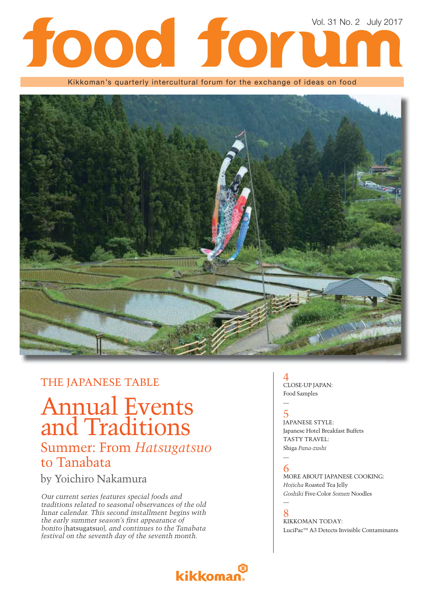# Vol. 31 No. 2 July 2017 tood for

Kikkoman's quarterly intercultural forum for the exchange of ideas on food



### THE JAPANESE TABLE

## Annual Events and Traditions Summer: From *Hatsugatsuo* to Tanabata

### by Yoichiro Nakamura

*Our current series features special foods and traditions related to seasonal observances of the old lunar calendar. This second installment begins with*  the early summer season's first appearance of *bonito* (hatsugatsuo)*, and continues to the Tanabata festival on the seventh day of the seventh month.*

## **kikkoman**

### 4 CLOSE-UP JAPAN: Food Samples

### 5 JAPANESE STYLE: Japanese Hotel Breakfast Buffets TASTY TRAVEL: Shiga *Funa-zushi*

#### — 6

—

MORE ABOUT JAPANESE COOKING: *Hojicha* Roasted Tea Jelly *Goshiki* Five-Color *Somen* Noodles

## —

8 KIKKOMAN TODAY: LuciPacTM A3 Detects Invisible Contaminants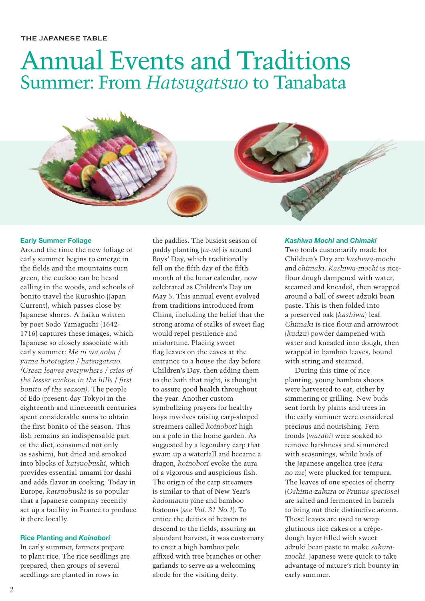## Annual Events and Traditions Summer: From *Hatsugatsuo* to Tanabata

#### **Early Summer Foliage**

Around the time the new foliage of early summer begins to emerge in the fields and the mountains turn green, the cuckoo can be heard calling in the woods, and schools of bonito travel the Kuroshio (Japan Current), which passes close by Japanese shores. A haiku written by poet Sodo Yamaguchi (1642- 1716) captures these images, which Japanese so closely associate with early summer: *Me ni wa aoba / yama hototogisu* / *hatsugatsuo. (Green leaves everywhere / cries of the lesser cuckoo in the hills / first bonito of the season).* The people of Edo (present-day Tokyo) in the eighteenth and nineteenth centuries spent considerable sums to obtain the first bonito of the season. This fish remains an indispensable part of the diet, consumed not only as sashimi, but dried and smoked into blocks of *katsuobushi*, which provides essential umami for dashi and adds flavor in cooking. Today in Europe, *katsuobushi* is so popular that a Japanese company recently set up a facility in France to produce it there locally.

#### **Rice Planting and** *Koinobori*

In early summer, farmers prepare to plant rice. The rice seedlings are prepared, then groups of several seedlings are planted in rows in

the paddies. The busiest season of paddy planting (*ta-ue*) is around Boys' Day, which traditionally fell on the fifth day of the fifth month of the lunar calendar, now celebrated as Children's Day on May 5. This annual event evolved from traditions introduced from China, including the belief that the strong aroma of stalks of sweet flag would repel pestilence and misfortune. Placing sweet flag leaves on the eaves at the entrance to a house the day before Children's Day, then adding them to the bath that night, is thought to assure good health throughout the year. Another custom symbolizing prayers for healthy boys involves raising carp-shaped streamers called *koinobori* high on a pole in the home garden. As suggested by a legendary carp that swam up a waterfall and became a dragon, *koinobori* evoke the aura of a vigorous and auspicious fish. The origin of the carp streamers is similar to that of New Year's *kadomatsu* pine and bamboo festoons (*see Vol. 31 No.1*). To entice the deities of heaven to descend to the fields, assuring an abundant harvest, it was customary to erect a high bamboo pole affixed with tree branches or other garlands to serve as a welcoming abode for the visiting deity.

#### *Kashiwa Mochi* **and** *Chimaki*

Two foods customarily made for Children's Day are *kashiwa-mochi* and *chimaki*. *Kashiwa-mochi* is riceflour dough dampened with water, steamed and kneaded, then wrapped around a ball of sweet adzuki bean paste. This is then folded into a preserved oak (*kashiwa*) leaf. *Chimaki* is rice flour and arrowroot (*kudzu*) powder dampened with water and kneaded into dough, then wrapped in bamboo leaves, bound with string and steamed.

During this time of rice planting, young bamboo shoots were harvested to eat, either by simmering or grilling. New buds sent forth by plants and trees in the early summer were considered precious and nourishing. Fern fronds (*warabi*) were soaked to remove harshness and simmered with seasonings, while buds of the Japanese angelica tree (*tara no me*) were plucked for tempura. The leaves of one species of cherry (*Oshima-zakura* or *Prunus speciosa*) are salted and fermented in barrels to bring out their distinctive aroma. These leaves are used to wrap glutinous rice cakes or a crêpedough layer filled with sweet adzuki bean paste to make *sakuramochi*. Japanese were quick to take advantage of nature's rich bounty in early summer.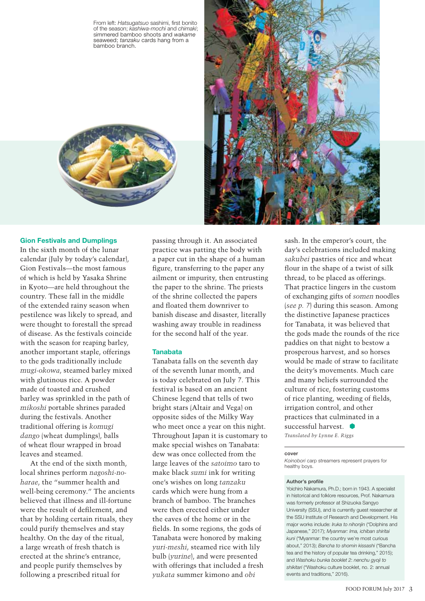From left: Hatsugatsuo sashimi, first bonito of the season; *kashiwa-mochi* and *chimaki*; simmered bamboo shoots and *wakame* seaweed; *tanzaku* cards hang from a bamboo branch.





#### **Gion Festivals and Dumplings**

In the sixth month of the lunar calendar (July by today's calendar), Gion Festivals—the most famous of which is held by Yasaka Shrine in Kyoto—are held throughout the country. These fall in the middle of the extended rainy season when pestilence was likely to spread, and were thought to forestall the spread of disease. As the festivals coincide with the season for reaping barley, another important staple, offerings to the gods traditionally include *mugi-okowa*, steamed barley mixed with glutinous rice. A powder made of toasted and crushed barley was sprinkled in the path of *mikoshi* portable shrines paraded during the festivals. Another traditional offering is *komugi dango* (wheat dumplings), balls of wheat flour wrapped in broad leaves and steamed.

At the end of the sixth month, local shrines perform *nagoshi-noharae*, the "summer health and well-being ceremony." The ancients believed that illness and ill-fortune were the result of defilement, and that by holding certain rituals, they could purify themselves and stay healthy. On the day of the ritual, a large wreath of fresh thatch is erected at the shrine's entrance, and people purify themselves by following a prescribed ritual for

passing through it. An associated practice was patting the body with a paper cut in the shape of a human figure, transferring to the paper any ailment or impurity, then entrusting the paper to the shrine. The priests of the shrine collected the papers and floated them downriver to banish disease and disaster, literally washing away trouble in readiness for the second half of the year.

#### **Tanabata**

Tanabata falls on the seventh day of the seventh lunar month, and is today celebrated on July 7. This festival is based on an ancient Chinese legend that tells of two bright stars (Altair and Vega) on opposite sides of the Milky Way who meet once a year on this night. Throughout Japan it is customary to make special wishes on Tanabata: dew was once collected from the large leaves of the *satoimo* taro to make black *sumi* ink for writing one's wishes on long *tanzaku* cards which were hung from a branch of bamboo. The branches were then erected either under the eaves of the home or in the fields. In some regions, the gods of Tanabata were honored by making *yuri-meshi*, steamed rice with lily bulb (*yurine*), and were presented with offerings that included a fresh *yukata* summer kimono and *obi*

sash. In the emperor's court, the day's celebrations included making *sakubei* pastries of rice and wheat flour in the shape of a twist of silk thread, to be placed as offerings. That practice lingers in the custom of exchanging gifts of *somen* noodles (*see p. 7*) during this season. Among the distinctive Japanese practices for Tanabata, it was believed that the gods made the rounds of the rice paddies on that night to bestow a prosperous harvest, and so horses would be made of straw to facilitate the deity's movements. Much care and many beliefs surrounded the culture of rice, fostering customs of rice planting, weeding of fields, irrigation control, and other practices that culminated in a successful harvest. *Translated by Lynne E. Riggs*

#### **cover**

*Koinobori* carp streamers represent prayers for healthy boys.

#### **Author's profile**

Yoichiro Nakamura, Ph.D.; born in 1943. A specialist in historical and folklore resources, Prof. Nakamura was formerly professor at Shizuoka Sangyo University (SSU), and is currently guest researcher at the SSU Institute of Research and Development. His major works include: *Iruka to nihonjin* ("Dolphins and Japanese," 2017); *Myanmar: Ima, ichiban shiritai kuni* ("Myanmar: the country we're most curious about," 2013); *Bancha to shomin kissashi* ("Bancha tea and the history of popular tea drinking," 2015); and *Washoku bunka booklet 2*: *nenchu gyoji to shikitari* ("Washoku culture booklet, no. 2: annual events and traditions," 2016).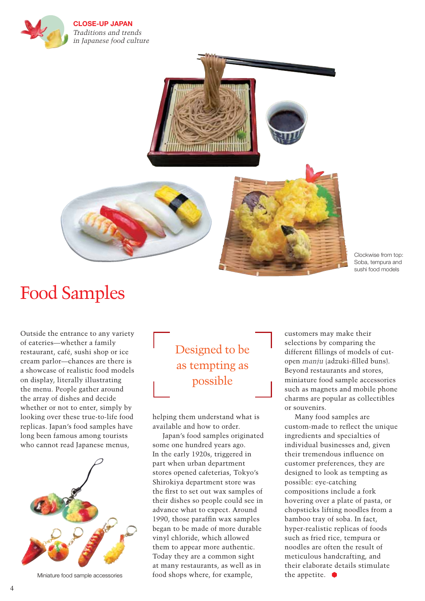

**CLOSE-UP JAPAN** *Traditions and trends in Japanese food culture* 



Clockwise from top: Soba, tempura and sushi food models

## Food Samples

Outside the entrance to any variety of eateries—whether a family restaurant, café, sushi shop or ice cream parlor—chances are there is a showcase of realistic food models on display, literally illustrating the menu. People gather around the array of dishes and decide whether or not to enter, simply by looking over these true-to-life food replicas. Japan's food samples have long been famous among tourists who cannot read Japanese menus,



Miniature food sample accessories

## Designed to be as tempting as possible

helping them understand what is available and how to order.

Japan's food samples originated some one hundred years ago. In the early 1920s, triggered in part when urban department stores opened cafeterias, Tokyo's Shirokiya department store was the first to set out wax samples of their dishes so people could see in advance what to expect. Around 1990, those paraffin wax samples began to be made of more durable vinyl chloride, which allowed them to appear more authentic. Today they are a common sight at many restaurants, as well as in food shops where, for example,

customers may make their selections by comparing the different fillings of models of cutopen *manju* (adzuki-filled buns). Beyond restaurants and stores, miniature food sample accessories such as magnets and mobile phone charms are popular as collectibles or souvenirs.

Many food samples are custom-made to reflect the unique ingredients and specialties of individual businesses and, given their tremendous influence on customer preferences, they are designed to look as tempting as possible: eye-catching compositions include a fork hovering over a plate of pasta, or chopsticks lifting noodles from a bamboo tray of soba. In fact, hyper-realistic replicas of foods such as fried rice, tempura or noodles are often the result of meticulous handcrafting, and their elaborate details stimulate the appetite.  $\bullet$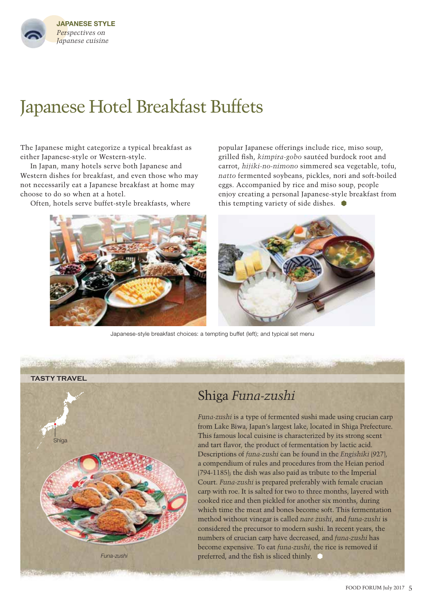

## Japanese Hotel Breakfast Buffets

The Japanese might categorize a typical breakfast as either Japanese-style or Western-style.

In Japan, many hotels serve both Japanese and Western dishes for breakfast, and even those who may not necessarily eat a Japanese breakfast at home may choose to do so when at a hotel.

Often, hotels serve buffet-style breakfasts, where

popular Japanese offerings include rice, miso soup, grilled fish, *kimpira-gobo* sautéed burdock root and carrot, *hijiki-no-nimono* simmered sea vegetable, tofu, *natto* fermented soybeans, pickles, nori and soft-boiled eggs. Accompanied by rice and miso soup, people enjoy creating a personal Japanese-style breakfast from this tempting variety of side dishes.  $\bullet$ 



Japanese-style breakfast choices: a tempting buffet (left); and typical set menu



### Shiga *Funa-zushi*

*Funa-zushi* is a type of fermented sushi made using crucian carp from Lake Biwa, Japan's largest lake, located in Shiga Prefecture. This famous local cuisine is characterized by its strong scent and tart flavor, the product of fermentation by lactic acid. Descriptions of *funa-zushi* can be found in the *Engishiki* (927), a compendium of rules and procedures from the Heian period (794-1185); the dish was also paid as tribute to the Imperial Court. *Funa-zushi* is prepared preferably with female crucian carp with roe. It is salted for two to three months, layered with cooked rice and then pickled for another six months, during which time the meat and bones become soft. This fermentation method without vinegar is called *nare zushi*, and *funa-zushi* is considered the precursor to modern sushi. In recent years, the numbers of crucian carp have decreased, and *funa-zushi* has become expensive. To eat *funa-zushi*, the rice is removed if preferred, and the fish is sliced thinly.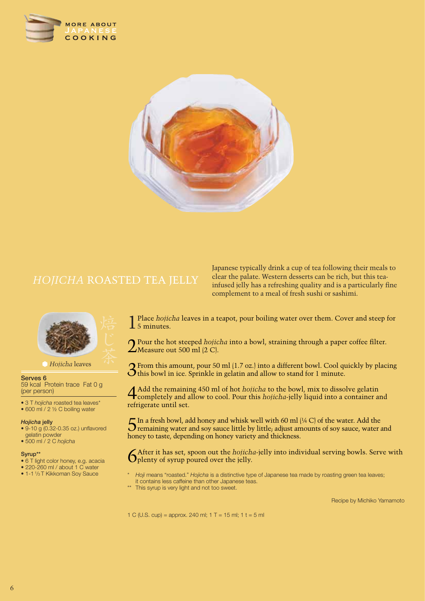



## *HOJICHA* ROASTED TEA JELLY



*Hojicha* leaves

#### **Serves 6**

59 kcal Protein trace Fat 0 g (per person)

- 3 T *hojicha* roasted tea leaves\*
- 600 ml / 2 1/2 C boiling water

#### *Hojicha* **jelly**

- 9-10 g (0.32-0.35 oz.) unflavored gelatin powder
- 500 ml / 2 C *hojicha*

#### **Syrup\*\***

- 6 T light color honey, e.g. acacia
- 220-260 ml / about 1 C water
- 1-1 1/3 T Kikkoman Soy Sauce

Japanese typically drink a cup of tea following their meals to clear the palate. Western desserts can be rich, but this teainfused jelly has a refreshing quality and is a particularly fine complement to a meal of fresh sushi or sashimi.

1 Place *hojicha* leaves in a teapot, pour boiling water over them. Cover and steep for  $\overline{\mathbf{1}}$  5 minutes.

**Q** Pour the hot steeped *hojicha* into a bowl, straining through a paper coffee filter.  $\angle$ Measure out 500 ml (2 C).

3From this amount, pour 50 ml (1.7 oz.) into a different bowl. Cool quickly by placing this bowl in ice. Sprinkle in gelatin and allow to stand for 1 minute.

4Add the remaining 450 ml of hot *hojicha* to the bowl, mix to dissolve gelatin completely and allow to cool. Pour this *hojicha*-jelly liquid into a container and refrigerate until set.

 $5$ In a fresh bowl, add honey and whisk well with 60 ml (¼ C) of the water. Add the remaining water and soy sauce little by little; adjust amounts of soy sauce, water and honey to taste, depending on honey variety and thickness.

6After it has set, spoon out the *hojicha*-jelly into individual serving bowls. Serve with **O** plenty of syrup poured over the jelly.

- \* *Hoji* means "roasted." *Hojicha* is a distinctive type of Japanese tea made by roasting green tea leaves; it contains less caffeine than other Japanese teas.
- \*\* This syrup is very light and not too sweet.

Recipe by Michiko Yamamoto

1 C (U.S. cup) = approx. 240 ml;  $1 T = 15$  ml;  $1 t = 5$  ml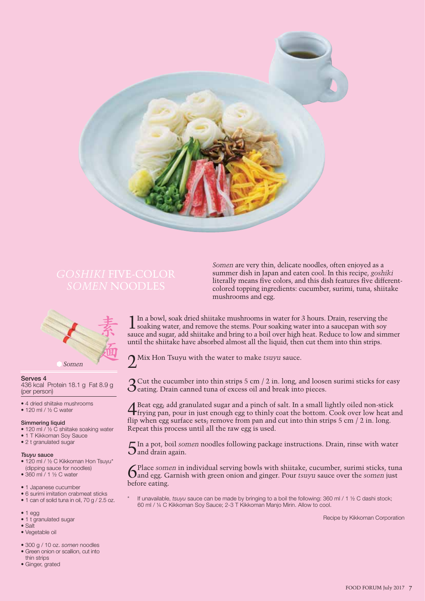

*Somen* are very thin, delicate noodles, often enjoyed as a summer dish in Japan and eaten cool. In this recipe, *goshiki* literally means five colors, and this dish features five differentcolored topping ingredients: cucumber, surimi, tuna, shiitake mushrooms and egg.



**Serves 4** 436 kcal Protein 18.1 g Fat 8.9 g (per person)

- 4 dried shiitake mushrooms
- 120 ml / ½ C water

#### **Simmering liquid**

- 120 ml / 1/2 C shiitake soaking water
- 1 T Kikkoman Soy Sauce
- 2 t granulated sugar

#### *Tsuyu* **sauce**

- 120 ml / ½ C Kikkoman Hon Tsuyu\* (dipping sauce for noodles)
- 360 ml / 1 ½ C water
- 1 Japanese cucumber
- 6 surimi imitation crabmeat sticks
- 1 can of solid tuna in oil, 70 g / 2.5 oz.
- $1$  egg
- 1 t granulated sugar
- Salt
- Vegetable oil
- 300 g / 10 oz. *somen* noodles
- Green onion or scallion, cut into thin strips
- Ginger, grated

1 In a bowl, soak dried shiitake mushrooms in water for 3 hours. Drain, reserving the **L** soaking water, and remove the stems. Pour soaking water into a saucepan with soy sauce and sugar, add shiitake and bring to a boil over high heat. Reduce to low and simmer until the shiitake have absorbed almost all the liquid, then cut them into thin strips.

2Mix Hon Tsuyu with the water to make *tsuyu* sauce.

 $\mathbf{\Omega}$  Cut the cucumber into thin strips 5 cm / 2 in. long, and loosen surimi sticks for easy  $\mathbf O$  eating. Drain canned tuna of excess oil and break into pieces.

4Beat egg; add granulated sugar and a pinch of salt. In a small lightly oiled non-stick frying pan, pour in just enough egg to thinly coat the bottom. Cook over low heat and flip when egg surface sets; remove from pan and cut into thin strips  $5 \text{ cm}/2 \text{ in.}$  long. Repeat this process until all the raw egg is used.

 $5^{\text{In a pot, } \text{boil somen}$  noodles following package instructions. Drain, rinse with water and drain again.

6Place *somen* in individual serving bowls with shiitake, cucumber, surimi sticks, tuna and egg. Garnish with green onion and ginger. Pour *tsuyu* sauce over the *somen* just before eating.

If unavailable, *tsuyu* sauce can be made by bringing to a boil the following: 360 ml / 1 ½ C dashi stock; 60 ml / ¼ C Kikkoman Soy Sauce; 2-3 T Kikkoman Manjo Mirin. Allow to cool.

Recipe by Kikkoman Corporation